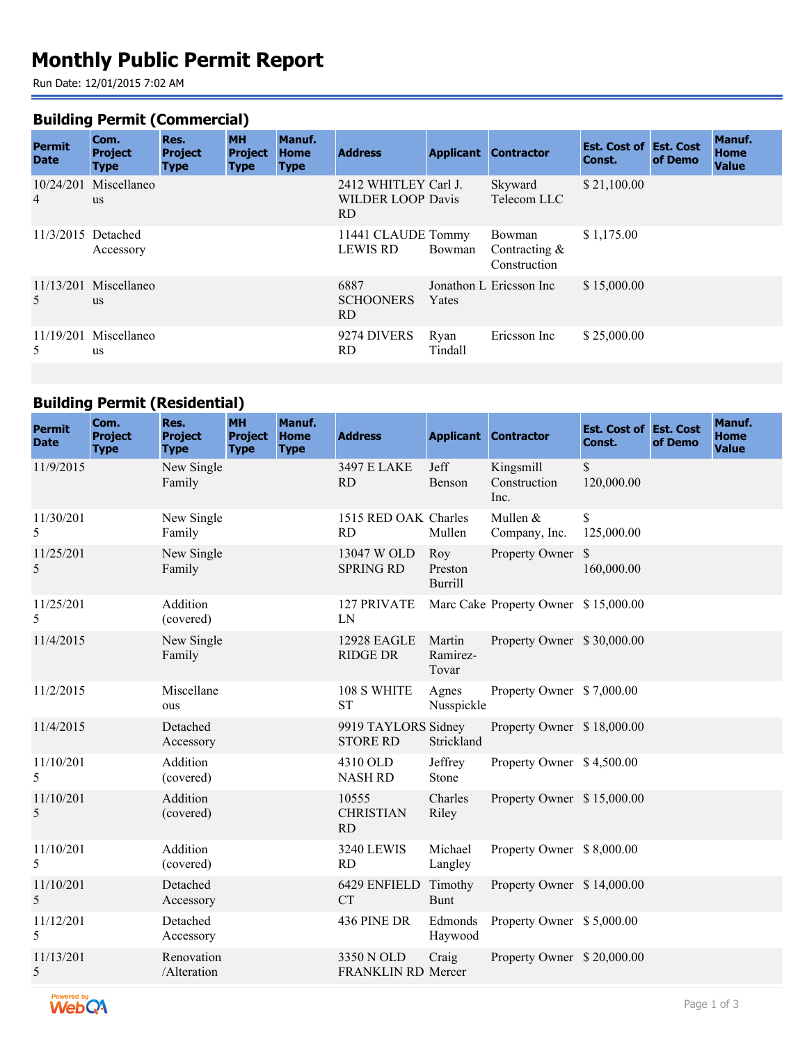# **Monthly Public Permit Report**

Run Date: 12/01/2015 7:02 AM

# **Building Permit (Commercial)**

| <b>Permit</b><br><b>Date</b> | Com.<br><b>Project</b><br><b>Type</b> | Res.<br><b>Project</b><br><b>Type</b> | <b>MH</b><br><b>Project</b><br><b>Type</b> | Manuf.<br><b>Home</b><br><b>Type</b> | <b>Address</b>                                          | <b>Applicant</b> | <b>Contractor</b>                         | <b>Est. Cost of Est. Cost</b><br>Const. | of Demo | Manuf.<br><b>Home</b><br><b>Value</b> |
|------------------------------|---------------------------------------|---------------------------------------|--------------------------------------------|--------------------------------------|---------------------------------------------------------|------------------|-------------------------------------------|-----------------------------------------|---------|---------------------------------------|
| $\overline{4}$               | 10/24/201 Miscellaneo<br><b>us</b>    |                                       |                                            |                                      | 2412 WHITLEY Carl J.<br><b>WILDER LOOP Davis</b><br>RD. |                  | Skyward<br>Telecom LLC                    | \$21,100.00                             |         |                                       |
| 11/3/2015 Detached           | Accessory                             |                                       |                                            |                                      | 11441 CLAUDE Tommy<br><b>LEWIS RD</b>                   | Bowman           | Bowman<br>Contracting $&$<br>Construction | \$1,175.00                              |         |                                       |
| 5                            | $11/13/201$ Miscellaneo<br><b>us</b>  |                                       |                                            |                                      | 6887<br><b>SCHOONERS</b><br>RD.                         | Yates            | Jonathon L Ericsson Inc                   | \$15,000.00                             |         |                                       |
| 5                            | $11/19/201$ Miscellaneo<br><b>us</b>  |                                       |                                            |                                      | 9274 DIVERS<br>RD.                                      | Ryan<br>Tindall  | Ericsson Inc                              | \$25,000.00                             |         |                                       |

# **Building Permit (Residential)**

| <b>Permit</b><br><b>Date</b> | Com.<br><b>Project</b><br><b>Type</b> | Res.<br><b>Project</b><br><b>Type</b> | <b>MH</b><br><b>Project</b><br><b>Type</b> | Manuf.<br><b>Home</b><br><b>Type</b> | <b>Address</b>                          |                                  | <b>Applicant Contractor</b>          | <b>Est. Cost of Est. Cost</b><br>Const. | of Demo | Manuf.<br><b>Home</b><br><b>Value</b> |
|------------------------------|---------------------------------------|---------------------------------------|--------------------------------------------|--------------------------------------|-----------------------------------------|----------------------------------|--------------------------------------|-----------------------------------------|---------|---------------------------------------|
| 11/9/2015                    |                                       | New Single<br>Family                  |                                            |                                      | <b>3497 E LAKE</b><br><b>RD</b>         | Jeff<br>Benson                   | Kingsmill<br>Construction<br>Inc.    | $\mathbb{S}$<br>120,000.00              |         |                                       |
| 11/30/201<br>5               |                                       | New Single<br>Family                  |                                            |                                      | 1515 RED OAK Charles<br><b>RD</b>       | Mullen                           | Mullen &<br>Company, Inc.            | \$<br>125,000.00                        |         |                                       |
| 11/25/201<br>5               |                                       | New Single<br>Family                  |                                            |                                      | 13047 W OLD<br><b>SPRING RD</b>         | Roy<br>Preston<br><b>Burrill</b> | Property Owner                       | $\mathbb{S}$<br>160,000.00              |         |                                       |
| 11/25/201<br>5               |                                       | Addition<br>(covered)                 |                                            |                                      | 127 PRIVATE<br>LN                       |                                  | Marc Cake Property Owner \$15,000.00 |                                         |         |                                       |
| 11/4/2015                    |                                       | New Single<br>Family                  |                                            |                                      | <b>12928 EAGLE</b><br><b>RIDGE DR</b>   | Martin<br>Ramirez-<br>Tovar      | Property Owner \$30,000.00           |                                         |         |                                       |
| 11/2/2015                    |                                       | Miscellane<br>ous                     |                                            |                                      | 108 S WHITE<br><b>ST</b>                | Agnes<br>Nusspickle              | Property Owner \$7,000.00            |                                         |         |                                       |
| 11/4/2015                    |                                       | Detached<br>Accessory                 |                                            |                                      | 9919 TAYLORS Sidney<br><b>STORE RD</b>  | Strickland                       | Property Owner \$18,000.00           |                                         |         |                                       |
| 11/10/201<br>5               |                                       | Addition<br>(covered)                 |                                            |                                      | 4310 OLD<br><b>NASH RD</b>              | Jeffrey<br>Stone                 | Property Owner \$4,500.00            |                                         |         |                                       |
| 11/10/201<br>5               |                                       | Addition<br>(covered)                 |                                            |                                      | 10555<br><b>CHRISTIAN</b><br>RD.        | Charles<br>Riley                 | Property Owner \$15,000.00           |                                         |         |                                       |
| 11/10/201<br>5               |                                       | Addition<br>(covered)                 |                                            |                                      | <b>3240 LEWIS</b><br>RD                 | Michael<br>Langley               | Property Owner \$8,000.00            |                                         |         |                                       |
| 11/10/201<br>5               |                                       | Detached<br>Accessory                 |                                            |                                      | 6429 ENFIELD<br><b>CT</b>               | Timothy<br><b>Bunt</b>           | Property Owner \$14,000.00           |                                         |         |                                       |
| 11/12/201<br>5               |                                       | Detached<br>Accessory                 |                                            |                                      | 436 PINE DR                             | Edmonds<br>Haywood               | Property Owner \$5,000.00            |                                         |         |                                       |
| 11/13/201<br>5               |                                       | Renovation<br>/Alteration             |                                            |                                      | 3350 N OLD<br><b>FRANKLIN RD Mercer</b> | Craig                            | Property Owner \$20,000.00           |                                         |         |                                       |

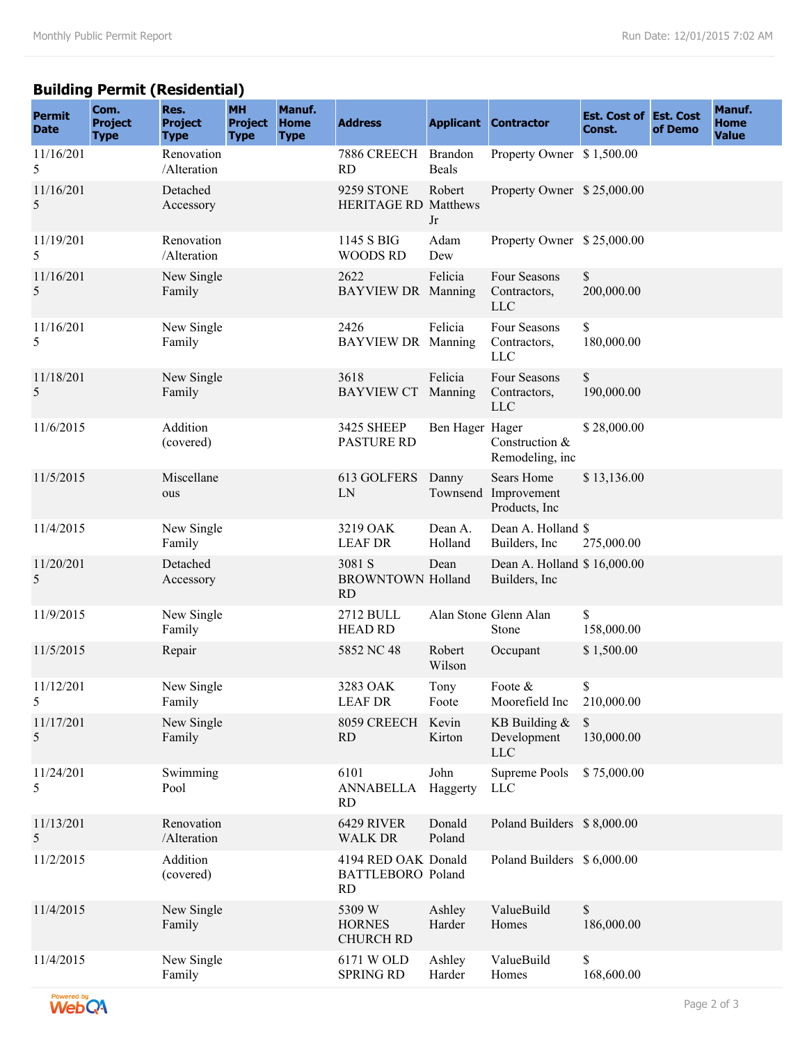#### **Building Permit (Residential)**

| <b>Permit</b><br><b>Date</b> | Com.<br><b>Project</b><br><b>Type</b> | Res.<br><b>Project</b><br><b>Type</b> | <b>MH</b><br><b>Project</b><br><b>Type</b> | Manuf.<br><b>Home</b><br><b>Type</b> | <b>Address</b>                                               |                                | <b>Applicant Contractor</b>                   | <b>Est. Cost of Est. Cost</b><br>Const. | of Demo | Manuf.<br><b>Home</b><br><b>Value</b> |
|------------------------------|---------------------------------------|---------------------------------------|--------------------------------------------|--------------------------------------|--------------------------------------------------------------|--------------------------------|-----------------------------------------------|-----------------------------------------|---------|---------------------------------------|
| 11/16/201<br>5               |                                       | Renovation<br>/Alteration             |                                            |                                      | 7886 CREECH<br><b>RD</b>                                     | <b>Brandon</b><br><b>Beals</b> | Property Owner                                | \$1,500.00                              |         |                                       |
| 11/16/201<br>5               |                                       | Detached<br>Accessory                 |                                            |                                      | 9259 STONE<br><b>HERITAGE RD Matthews</b>                    | Robert<br>Jr                   | Property Owner \$25,000.00                    |                                         |         |                                       |
| 11/19/201<br>5               |                                       | Renovation<br>/Alteration             |                                            |                                      | 1145 S BIG<br><b>WOODS RD</b>                                | Adam<br>Dew                    | Property Owner \$25,000.00                    |                                         |         |                                       |
| 11/16/201<br>5               |                                       | New Single<br>Family                  |                                            |                                      | 2622<br>BAYVIEW DR Manning                                   | Felicia                        | Four Seasons<br>Contractors,<br><b>LLC</b>    | \$<br>200,000.00                        |         |                                       |
| 11/16/201<br>5               |                                       | New Single<br>Family                  |                                            |                                      | 2426<br><b>BAYVIEW DR Manning</b>                            | Felicia                        | Four Seasons<br>Contractors,<br><b>LLC</b>    | \$<br>180,000.00                        |         |                                       |
| 11/18/201<br>5               |                                       | New Single<br>Family                  |                                            |                                      | 3618<br><b>BAYVIEW CT</b>                                    | Felicia<br>Manning             | Four Seasons<br>Contractors,<br><b>LLC</b>    | \$<br>190,000.00                        |         |                                       |
| 11/6/2015                    |                                       | Addition<br>(covered)                 |                                            |                                      | <b>3425 SHEEP</b><br><b>PASTURE RD</b>                       | Ben Hager Hager                | Construction &<br>Remodeling, inc             | \$28,000.00                             |         |                                       |
| 11/5/2015                    |                                       | Miscellane<br>ous                     |                                            |                                      | 613 GOLFERS<br>LN                                            | Danny<br>Townsend              | Sears Home<br>Improvement<br>Products, Inc.   | \$13,136.00                             |         |                                       |
| 11/4/2015                    |                                       | New Single<br>Family                  |                                            |                                      | 3219 OAK<br><b>LEAF DR</b>                                   | Dean A.<br>Holland             | Dean A. Holland \$<br>Builders, Inc.          | 275,000.00                              |         |                                       |
| 11/20/201<br>5               |                                       | Detached<br>Accessory                 |                                            |                                      | 3081 S<br><b>BROWNTOWN Holland</b><br><b>RD</b>              | Dean                           | Dean A. Holland \$16,000.00<br>Builders, Inc. |                                         |         |                                       |
| 11/9/2015                    |                                       | New Single<br>Family                  |                                            |                                      | 2712 BULL<br><b>HEAD RD</b>                                  |                                | Alan Stone Glenn Alan<br>Stone                | \$<br>158,000.00                        |         |                                       |
| 11/5/2015                    |                                       | Repair                                |                                            |                                      | 5852 NC 48                                                   | Robert<br>Wilson               | Occupant                                      | \$1,500.00                              |         |                                       |
| 11/12/201<br>5               |                                       | New Single<br>Family                  |                                            |                                      | 3283 OAK<br><b>LEAF DR</b>                                   | Tony<br>Foote                  | Foote $\&$<br>Moorefield Inc                  | \$<br>210,000.00                        |         |                                       |
| 11/17/201<br>5               |                                       | New Single<br>Family                  |                                            |                                      | 8059 CREECH<br><b>RD</b>                                     | Kevin<br>Kirton                | KB Building &<br>Development<br><b>LLC</b>    | \$<br>130,000.00                        |         |                                       |
| 11/24/201<br>5               |                                       | Swimming<br>Pool                      |                                            |                                      | 6101<br><b>ANNABELLA</b><br><b>RD</b>                        | John<br>Haggerty               | Supreme Pools<br>LLC                          | \$75,000.00                             |         |                                       |
| 11/13/201<br>5               |                                       | Renovation<br>/Alteration             |                                            |                                      | 6429 RIVER<br><b>WALK DR</b>                                 | Donald<br>Poland               | Poland Builders \$8,000.00                    |                                         |         |                                       |
| 11/2/2015                    |                                       | Addition<br>(covered)                 |                                            |                                      | 4194 RED OAK Donald<br><b>BATTLEBORO</b> Poland<br><b>RD</b> |                                | Poland Builders \$ 6,000.00                   |                                         |         |                                       |
| 11/4/2015                    |                                       | New Single<br>Family                  |                                            |                                      | 5309 W<br><b>HORNES</b><br><b>CHURCH RD</b>                  | Ashley<br>Harder               | ValueBuild<br>Homes                           | \$<br>186,000.00                        |         |                                       |
| 11/4/2015                    |                                       | New Single<br>Family                  |                                            |                                      | 6171 W OLD<br><b>SPRING RD</b>                               | Ashley<br>Harder               | ValueBuild<br>Homes                           | \$<br>168,600.00                        |         |                                       |